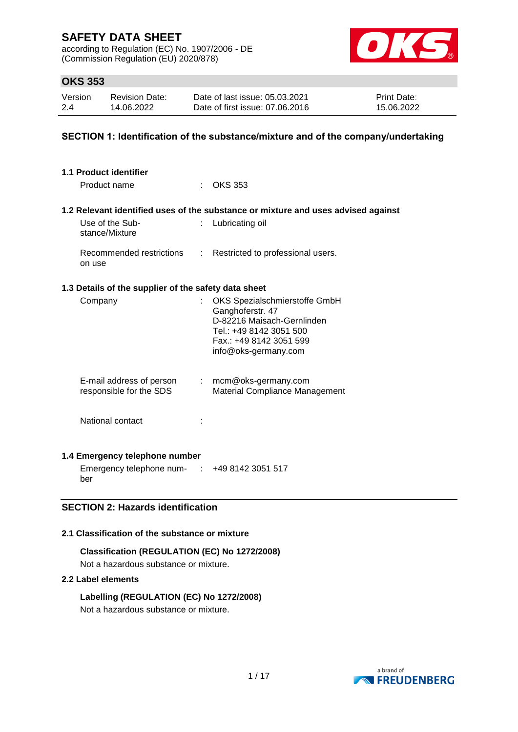according to Regulation (EC) No. 1907/2006 - DE (Commission Regulation (EU) 2020/878)



## **OKS 353**

| Version | <b>Revision Date:</b> | Date of last issue: 05.03.2021  | <b>Print Date:</b> |
|---------|-----------------------|---------------------------------|--------------------|
| 2.4     | 14.06.2022            | Date of first issue: 07.06.2016 | 15.06.2022         |

### **SECTION 1: Identification of the substance/mixture and of the company/undertaking**

| 1.1 Product identifier<br>Product name               |                           | $\therefore$ OKS 353                                                                                                                                          |  |  |
|------------------------------------------------------|---------------------------|---------------------------------------------------------------------------------------------------------------------------------------------------------------|--|--|
|                                                      |                           | 1.2 Relevant identified uses of the substance or mixture and uses advised against                                                                             |  |  |
| Use of the Sub-<br>stance/Mixture                    |                           | Lubricating oil                                                                                                                                               |  |  |
| Recommended restrictions<br>on use                   | $\mathbb{R}^{\mathbb{Z}}$ | Restricted to professional users.                                                                                                                             |  |  |
| 1.3 Details of the supplier of the safety data sheet |                           |                                                                                                                                                               |  |  |
| Company                                              |                           | OKS Spezialschmierstoffe GmbH<br>Ganghoferstr. 47<br>D-82216 Maisach-Gernlinden<br>Tel.: +49 8142 3051 500<br>Fax.: +49 8142 3051 599<br>info@oks-germany.com |  |  |
| E-mail address of person<br>responsible for the SDS  |                           | $:$ mcm@oks-germany.com<br>Material Compliance Management                                                                                                     |  |  |
| National contact                                     |                           |                                                                                                                                                               |  |  |
| 1.4 Emergency telephone number<br>0.11000001000      |                           |                                                                                                                                                               |  |  |

Emergency telephone num-: +49 8142 3051 517 ber

### **SECTION 2: Hazards identification**

### **2.1 Classification of the substance or mixture**

**Classification (REGULATION (EC) No 1272/2008)** Not a hazardous substance or mixture.

#### **2.2 Label elements**

**Labelling (REGULATION (EC) No 1272/2008)** Not a hazardous substance or mixture.

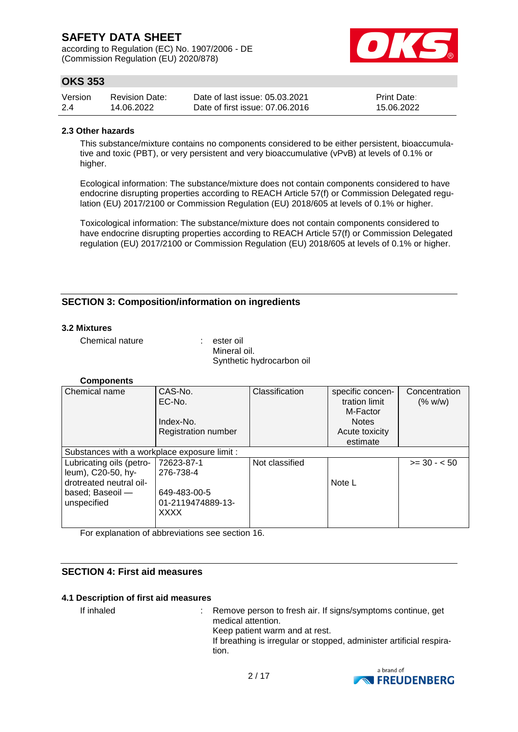according to Regulation (EC) No. 1907/2006 - DE (Commission Regulation (EU) 2020/878)



## **OKS 353**

| Version | <b>Revision Date:</b> | Date of last issue: 05.03.2021  | <b>Print Date:</b> |
|---------|-----------------------|---------------------------------|--------------------|
| 2.4     | 14.06.2022            | Date of first issue: 07.06.2016 | 15.06.2022         |

#### **2.3 Other hazards**

This substance/mixture contains no components considered to be either persistent, bioaccumulative and toxic (PBT), or very persistent and very bioaccumulative (vPvB) at levels of 0.1% or higher.

Ecological information: The substance/mixture does not contain components considered to have endocrine disrupting properties according to REACH Article 57(f) or Commission Delegated regulation (EU) 2017/2100 or Commission Regulation (EU) 2018/605 at levels of 0.1% or higher.

Toxicological information: The substance/mixture does not contain components considered to have endocrine disrupting properties according to REACH Article 57(f) or Commission Delegated regulation (EU) 2017/2100 or Commission Regulation (EU) 2018/605 at levels of 0.1% or higher.

### **SECTION 3: Composition/information on ingredients**

#### **3.2 Mixtures**

Chemical nature : ester oil

Mineral oil. Synthetic hydrocarbon oil

#### **Components**

| Chemical name                                | CAS-No.                    | Classification | specific concen- | Concentration |
|----------------------------------------------|----------------------------|----------------|------------------|---------------|
|                                              | EC-No.                     |                | tration limit    | (% w/w)       |
|                                              |                            |                | M-Factor         |               |
|                                              | Index-No.                  |                | <b>Notes</b>     |               |
|                                              | <b>Registration number</b> |                | Acute toxicity   |               |
|                                              |                            |                | estimate         |               |
| Substances with a workplace exposure limit : |                            |                |                  |               |
| Lubricating oils (petro-                     | 72623-87-1                 | Not classified |                  | $>= 30 - 50$  |
| leum), C20-50, hy-                           | 276-738-4                  |                |                  |               |
| drotreated neutral oil-                      |                            |                | Note L           |               |
| based; Baseoil -                             | 649-483-00-5               |                |                  |               |
| unspecified                                  | 01-2119474889-13-          |                |                  |               |
|                                              | <b>XXXX</b>                |                |                  |               |
|                                              |                            |                |                  |               |

For explanation of abbreviations see section 16.

#### **SECTION 4: First aid measures**

#### **4.1 Description of first aid measures**

If inhaled : Remove person to fresh air. If signs/symptoms continue, get medical attention. Keep patient warm and at rest. If breathing is irregular or stopped, administer artificial respiration.

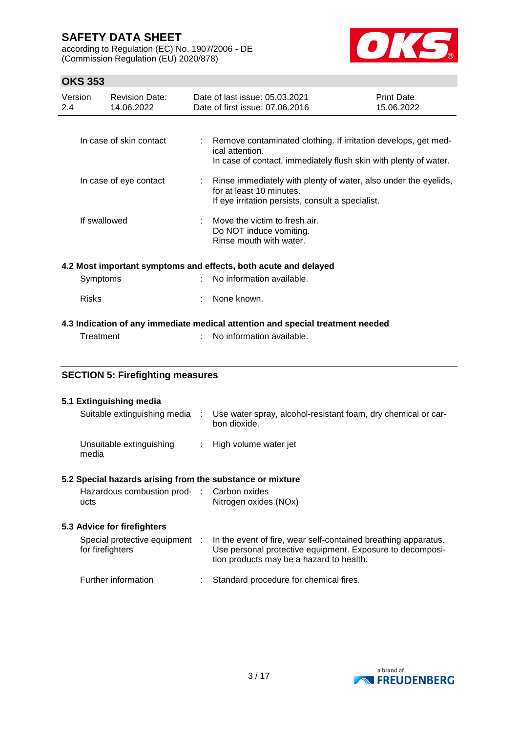according to Regulation (EC) No. 1907/2006 - DE (Commission Regulation (EU) 2020/878)



## **OKS 353**

| Version<br>2.4         | <b>Revision Date:</b><br>14.06.2022 | Date of last issue: 05.03.2021<br>Date of first issue: 07.06.2016                                                                                       | Print Date:<br>15.06.2022 |
|------------------------|-------------------------------------|---------------------------------------------------------------------------------------------------------------------------------------------------------|---------------------------|
|                        | In case of skin contact             | : Remove contaminated clothing. If irritation develops, get med-<br>ical attention.<br>In case of contact, immediately flush skin with plenty of water. |                           |
| In case of eye contact |                                     | Rinse immediately with plenty of water, also under the eyelids,<br>for at least 10 minutes.<br>If eye irritation persists, consult a specialist.        |                           |
|                        | If swallowed                        | $\therefore$ Move the victim to fresh air.<br>Do NOT induce vomiting.<br>Rinse mouth with water.                                                        |                           |
|                        |                                     | 4.2 Most important symptoms and effects, both acute and delayed                                                                                         |                           |

| Symptoms | : No information available. |
|----------|-----------------------------|
| Risks    | : None known.               |

#### **4.3 Indication of any immediate medical attention and special treatment needed**

: No information available.

### **SECTION 5: Firefighting measures**

#### **5.1 Extinguishing media**

media

| Suitable extinguishing media |  | Use water spray, alcohol-resistant foam, dry chemical or car-<br>bon dioxide. |
|------------------------------|--|-------------------------------------------------------------------------------|
| Unsuitable extinguishing     |  | : High volume water jet                                                       |

#### **5.2 Special hazards arising from the substance or mixture**

| Hazardous combustion prod- : Carbon oxides |                       |
|--------------------------------------------|-----------------------|
| ucts                                       | Nitrogen oxides (NOx) |

#### **5.3 Advice for firefighters**

| Special protective equipment :<br>for firefighters | In the event of fire, wear self-contained breathing apparatus.<br>Use personal protective equipment. Exposure to decomposi-<br>tion products may be a hazard to health. |
|----------------------------------------------------|-------------------------------------------------------------------------------------------------------------------------------------------------------------------------|
| Further information                                | Standard procedure for chemical fires.                                                                                                                                  |

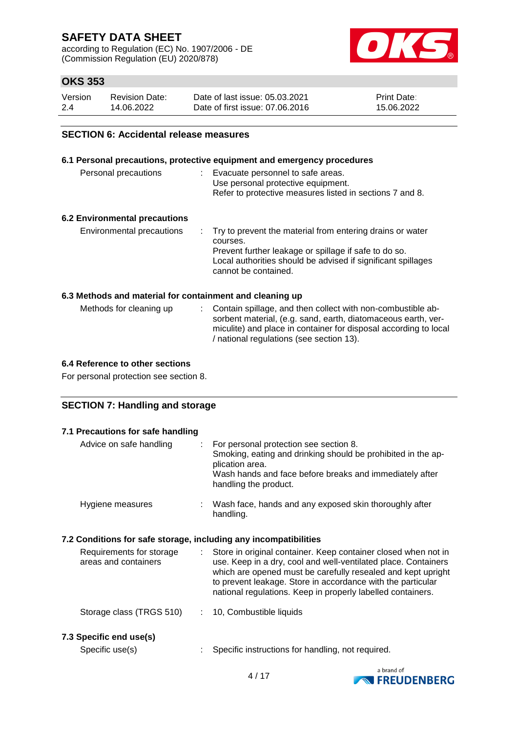according to Regulation (EC) No. 1907/2006 - DE (Commission Regulation (EU) 2020/878)



## **OKS 353**

| Version | <b>Revision Date:</b> | Date of last issue: 05.03.2021  | <b>Print Date:</b> |
|---------|-----------------------|---------------------------------|--------------------|
| 2.4     | 14.06.2022            | Date of first issue: 07.06.2016 | 15.06.2022         |

#### **SECTION 6: Accidental release measures**

|                                                          | 6.1 Personal precautions, protective equipment and emergency procedures                                                                                                                                                  |
|----------------------------------------------------------|--------------------------------------------------------------------------------------------------------------------------------------------------------------------------------------------------------------------------|
| Personal precautions                                     | : Evacuate personnel to safe areas.<br>Use personal protective equipment.<br>Refer to protective measures listed in sections 7 and 8.                                                                                    |
| <b>6.2 Environmental precautions</b>                     |                                                                                                                                                                                                                          |
| Environmental precautions                                | : Try to prevent the material from entering drains or water<br>courses.<br>Prevent further leakage or spillage if safe to do so.<br>Local authorities should be advised if significant spillages<br>cannot be contained. |
| 6.3 Methods and material for containment and cleaning up |                                                                                                                                                                                                                          |
|                                                          | Methode for eleccing up . Contain enillogs, and then collect with non-combustible ob                                                                                                                                     |

#### Methods for cleaning up : Contain spillage, and then collect with non-combustible absorbent material, (e.g. sand, earth, diatomaceous earth, vermiculite) and place in container for disposal according to local / national regulations (see section 13).

#### **6.4 Reference to other sections**

For personal protection see section 8.

### **SECTION 7: Handling and storage**

| 7.1 Precautions for safe handling                                |                               |                                                                                                                                                                                                                                                                                                                                |
|------------------------------------------------------------------|-------------------------------|--------------------------------------------------------------------------------------------------------------------------------------------------------------------------------------------------------------------------------------------------------------------------------------------------------------------------------|
| Advice on safe handling                                          | t.                            | For personal protection see section 8.<br>Smoking, eating and drinking should be prohibited in the ap-<br>plication area.<br>Wash hands and face before breaks and immediately after<br>handling the product.                                                                                                                  |
| Hygiene measures                                                 |                               | : Wash face, hands and any exposed skin thoroughly after<br>handling.                                                                                                                                                                                                                                                          |
| 7.2 Conditions for safe storage, including any incompatibilities |                               |                                                                                                                                                                                                                                                                                                                                |
| Requirements for storage<br>areas and containers                 | $\mathcal{I}^{\mathcal{I}}$ . | Store in original container. Keep container closed when not in<br>use. Keep in a dry, cool and well-ventilated place. Containers<br>which are opened must be carefully resealed and kept upright<br>to prevent leakage. Store in accordance with the particular<br>national regulations. Keep in properly labelled containers. |
| Storage class (TRGS 510)                                         |                               | 10, Combustible liquids                                                                                                                                                                                                                                                                                                        |
| 7.3 Specific end use(s)                                          |                               |                                                                                                                                                                                                                                                                                                                                |
| Specific use(s)                                                  |                               | Specific instructions for handling, not required.                                                                                                                                                                                                                                                                              |

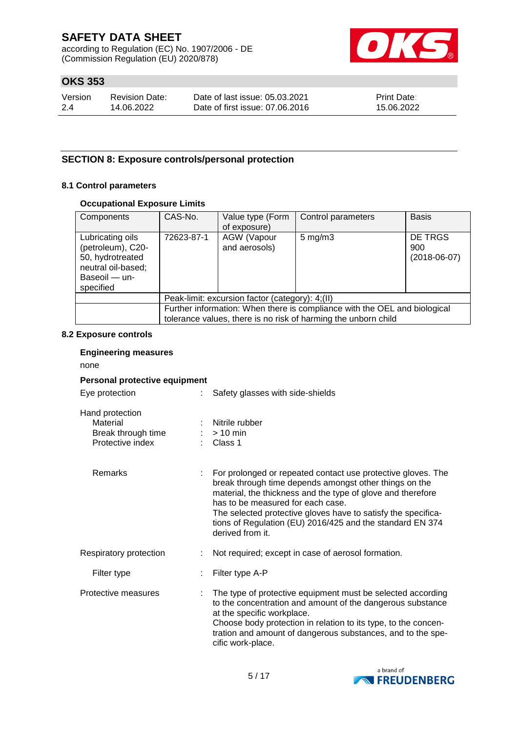according to Regulation (EC) No. 1907/2006 - DE (Commission Regulation (EU) 2020/878)



## **OKS 353**

| Version | <b>Revision Date:</b> | Date of last issue: 05.03.2021  | <b>Print Date:</b> |
|---------|-----------------------|---------------------------------|--------------------|
| 2.4     | 14.06.2022            | Date of first issue: 07,06,2016 | 15.06.2022         |

### **SECTION 8: Exposure controls/personal protection**

#### **8.1 Control parameters**

#### **Occupational Exposure Limits**

| Components                                                                                                    | CAS-No.                                                                                                                                     | Value type (Form<br>of exposure) | Control parameters | <b>Basis</b>                     |
|---------------------------------------------------------------------------------------------------------------|---------------------------------------------------------------------------------------------------------------------------------------------|----------------------------------|--------------------|----------------------------------|
| Lubricating oils<br>(petroleum), C20-<br>50, hydrotreated<br>neutral oil-based;<br>Baseoil - un-<br>specified | AGW (Vapour<br>72623-87-1<br>and aerosols)                                                                                                  |                                  | $5 \text{ mg/m}$ 3 | DE TRGS<br>900<br>$(2018-06-07)$ |
|                                                                                                               | Peak-limit: excursion factor (category): 4;(II)                                                                                             |                                  |                    |                                  |
|                                                                                                               | Further information: When there is compliance with the OEL and biological<br>tolerance values, there is no risk of harming the unborn child |                                  |                    |                                  |

#### **8.2 Exposure controls**

#### **Engineering measures**

none

#### **Personal protective equipment**

Eye protection : Safety glasses with side-shields

| Hand protection    |                      |
|--------------------|----------------------|
| Material           | : Nitrile rubber     |
| Break through time | $:$ > 10 min         |
| Protective index   | $\therefore$ Class 1 |
|                    |                      |

| <b>Remarks</b>         | For prolonged or repeated contact use protective gloves. The<br>break through time depends amongst other things on the<br>material, the thickness and the type of glove and therefore<br>has to be measured for each case.<br>The selected protective gloves have to satisfy the specifica-<br>tions of Regulation (EU) 2016/425 and the standard EN 374<br>derived from it. |  |
|------------------------|------------------------------------------------------------------------------------------------------------------------------------------------------------------------------------------------------------------------------------------------------------------------------------------------------------------------------------------------------------------------------|--|
| Respiratory protection | Not required; except in case of aerosol formation.                                                                                                                                                                                                                                                                                                                           |  |
| Filter type            | Filter type A-P                                                                                                                                                                                                                                                                                                                                                              |  |

#### Protective measures : The type of protective equipment must be selected according to the concentration and amount of the dangerous substance at the specific workplace. Choose body protection in relation to its type, to the concentration and amount of dangerous substances, and to the specific work-place.

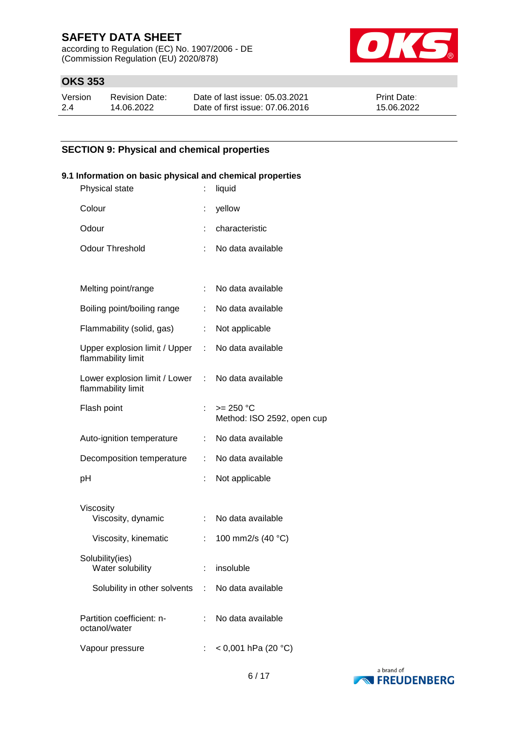according to Regulation (EC) No. 1907/2006 - DE (Commission Regulation (EU) 2020/878)



## **OKS 353**

| Version | <b>Revision Date:</b> | Date of last issue: 05.03.2021  | <b>Print Date:</b> |
|---------|-----------------------|---------------------------------|--------------------|
| 2.4     | 14.06.2022            | Date of first issue: 07.06.2016 | 15.06.2022         |

### **SECTION 9: Physical and chemical properties**

#### **9.1 Information on basic physical and chemical properties**

| Physical state                                        | t                         | liquid                                    |
|-------------------------------------------------------|---------------------------|-------------------------------------------|
| Colour                                                | t                         | yellow                                    |
| Odour                                                 |                           | characteristic                            |
| <b>Odour Threshold</b>                                | ÷                         | No data available                         |
|                                                       |                           |                                           |
| Melting point/range                                   | t.                        | No data available                         |
| Boiling point/boiling range                           | ÷.                        | No data available                         |
| Flammability (solid, gas)                             | ÷.                        | Not applicable                            |
| Upper explosion limit / Upper :<br>flammability limit |                           | No data available                         |
| Lower explosion limit / Lower<br>flammability limit   | $\mathbb{R}^{\mathbb{Z}}$ | No data available                         |
| Flash point                                           |                           | $>= 250 °C$<br>Method: ISO 2592, open cup |
| Auto-ignition temperature                             | t.                        | No data available                         |
| Decomposition temperature                             |                           | No data available                         |
| рH                                                    | t                         | Not applicable                            |
|                                                       |                           |                                           |
| Viscosity<br>Viscosity, dynamic                       | ÷.                        | No data available                         |
| Viscosity, kinematic                                  | t.                        | 100 mm2/s (40 °C)                         |
| Solubility(ies)<br>Water solubility                   |                           | insoluble                                 |
| Solubility in other solvents : No data available      |                           |                                           |
| Partition coefficient: n-<br>octanol/water            | t.                        | No data available                         |
| Vapour pressure                                       |                           | $<$ 0,001 hPa (20 °C)                     |
|                                                       |                           |                                           |

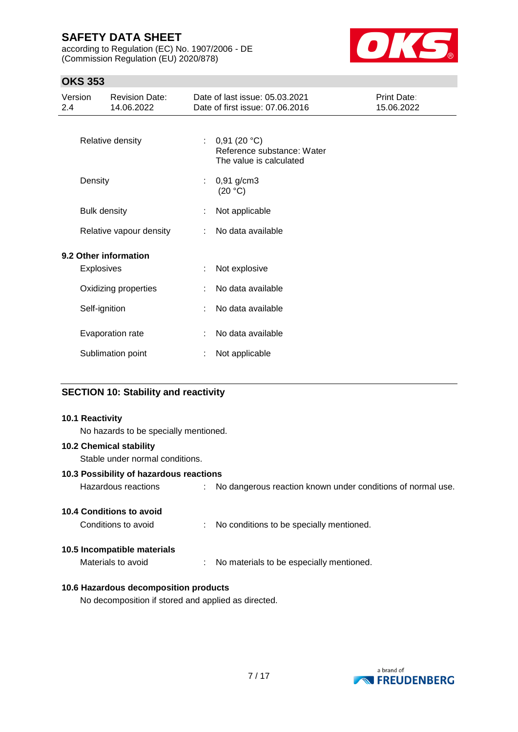according to Regulation (EC) No. 1907/2006 - DE (Commission Regulation (EU) 2020/878)



## **OKS 353**

| Version<br><b>Revision Date:</b><br>14.06.2022<br>2.4 |                     |                         | Date of last issue: 05.03.2021<br>Date of first issue: 07.06.2016 | Print Date:<br>15.06.2022                                            |  |
|-------------------------------------------------------|---------------------|-------------------------|-------------------------------------------------------------------|----------------------------------------------------------------------|--|
|                                                       |                     | Relative density        | ÷.                                                                | 0,91(20 °C)<br>Reference substance: Water<br>The value is calculated |  |
|                                                       | Density             |                         |                                                                   | $0,91$ g/cm3<br>(20 °C)                                              |  |
|                                                       | <b>Bulk density</b> |                         |                                                                   | Not applicable                                                       |  |
|                                                       |                     | Relative vapour density | ÷.                                                                | No data available                                                    |  |
| 9.2 Other information<br><b>Explosives</b>            |                     |                         | ÷                                                                 | Not explosive                                                        |  |
|                                                       |                     | Oxidizing properties    |                                                                   | No data available                                                    |  |
|                                                       | Self-ignition       |                         |                                                                   | No data available                                                    |  |
|                                                       |                     | Evaporation rate        |                                                                   | No data available                                                    |  |
|                                                       |                     | Sublimation point       |                                                                   | Not applicable                                                       |  |
|                                                       |                     |                         |                                                                   |                                                                      |  |

#### **SECTION 10: Stability and reactivity**

#### **10.1 Reactivity**

No hazards to be specially mentioned.

#### **10.2 Chemical stability**

Stable under normal conditions.

#### **10.3 Possibility of hazardous reactions**

| Hazardous reactions | No dangerous reaction known under conditions of normal use. |
|---------------------|-------------------------------------------------------------|
|                     |                                                             |

#### **10.4 Conditions to avoid**

Conditions to avoid : No conditions to be specially mentioned.

#### **10.5 Incompatible materials**

Materials to avoid : No materials to be especially mentioned.

#### **10.6 Hazardous decomposition products**

No decomposition if stored and applied as directed.

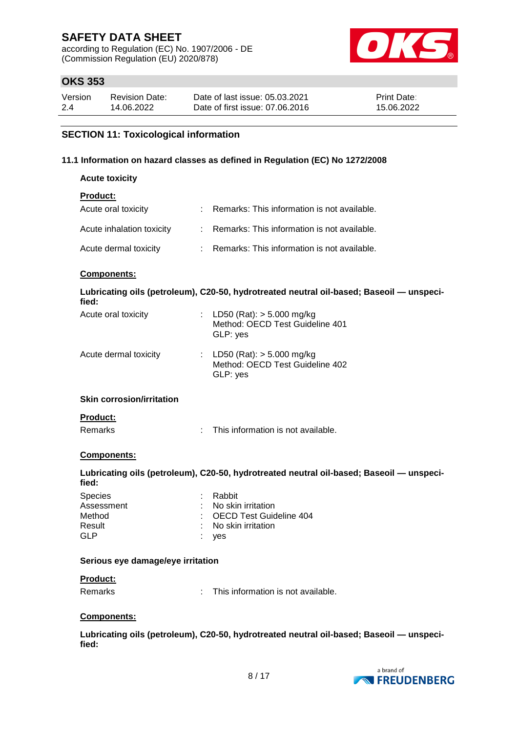according to Regulation (EC) No. 1907/2006 - DE (Commission Regulation (EU) 2020/878)



## **OKS 353**

| Version | <b>Revision Date:</b> | Date of last issue: 05.03.2021  | <b>Print Date:</b> |
|---------|-----------------------|---------------------------------|--------------------|
| 2.4     | 14.06.2022            | Date of first issue: 07.06.2016 | 15.06.2022         |

### **SECTION 11: Toxicological information**

#### **11.1 Information on hazard classes as defined in Regulation (EC) No 1272/2008**

| <b>Acute toxicity</b> |  |
|-----------------------|--|
|-----------------------|--|

## **Product:**

| Acute oral toxicity       | : Remarks: This information is not available. |
|---------------------------|-----------------------------------------------|
| Acute inhalation toxicity | : Remarks: This information is not available. |
| Acute dermal toxicity     | : Remarks: This information is not available. |

#### **Components:**

| Lubricating oils (petroleum), C20-50, hydrotreated neutral oil-based; Baseoil — unspeci-<br>fied: |                                                                              |  |  |  |
|---------------------------------------------------------------------------------------------------|------------------------------------------------------------------------------|--|--|--|
| Acute oral toxicity                                                                               | LD50 (Rat): $>$ 5.000 mg/kg<br>Method: OECD Test Guideline 401<br>GLP: yes   |  |  |  |
| Acute dermal toxicity                                                                             | : LD50 (Rat): $>$ 5.000 mg/kg<br>Method: OECD Test Guideline 402<br>GLP: yes |  |  |  |
| <b>Skin corrosion/irritation</b>                                                                  |                                                                              |  |  |  |

#### **Product:**

Remarks : This information is not available.

#### **Components:**

**Lubricating oils (petroleum), C20-50, hydrotreated neutral oil-based; Baseoil — unspecified:**

| Species    | : Rabbit                  |
|------------|---------------------------|
| Assessment | : No skin irritation      |
| Method     | : OECD Test Guideline 404 |
| Result     | : No skin irritation      |
| GI P       | : ves                     |
|            |                           |

#### **Serious eye damage/eye irritation**

#### **Product:**

Remarks : This information is not available.

#### **Components:**

**Lubricating oils (petroleum), C20-50, hydrotreated neutral oil-based; Baseoil — unspecified:**

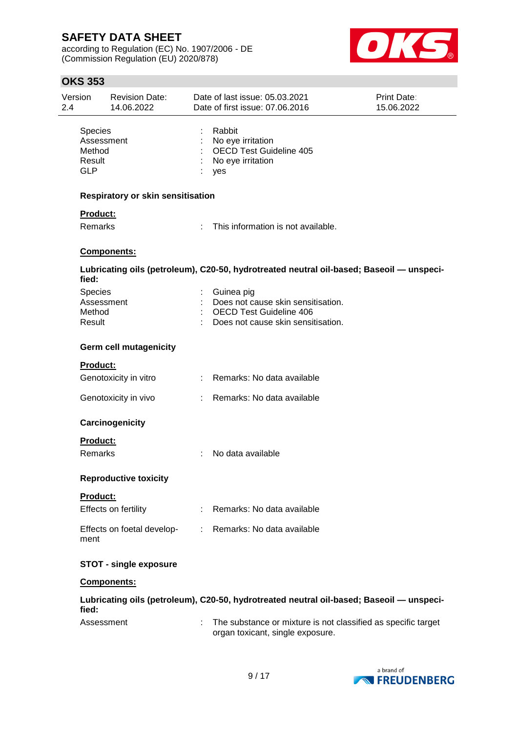according to Regulation (EC) No. 1907/2006 - DE (Commission Regulation (EU) 2020/878)



### **OKS 353**

| Version<br>2.4                                   | <b>Revision Date:</b><br>14.06.2022 | Date of last issue: 05.03.2021<br>Date of first issue: 07.06.2016                                                        | <b>Print Date:</b><br>15.06.2022 |
|--------------------------------------------------|-------------------------------------|--------------------------------------------------------------------------------------------------------------------------|----------------------------------|
| <b>Species</b><br>Method<br>Result<br><b>GLP</b> | Assessment                          | Rabbit<br>No eye irritation<br><b>OECD Test Guideline 405</b><br>No eye irritation<br>yes                                |                                  |
|                                                  | Respiratory or skin sensitisation   |                                                                                                                          |                                  |
| <b>Product:</b><br><b>Remarks</b>                |                                     | This information is not available.                                                                                       |                                  |
|                                                  | Components:                         |                                                                                                                          |                                  |
| fied:                                            |                                     | Lubricating oils (petroleum), C20-50, hydrotreated neutral oil-based; Baseoil - unspeci-                                 |                                  |
| <b>Species</b><br>Method<br>Result               | Assessment                          | Guinea pig<br>Does not cause skin sensitisation.<br><b>OECD Test Guideline 406</b><br>Does not cause skin sensitisation. |                                  |
|                                                  | <b>Germ cell mutagenicity</b>       |                                                                                                                          |                                  |
| Product:                                         |                                     |                                                                                                                          |                                  |
|                                                  | Genotoxicity in vitro               | : Remarks: No data available                                                                                             |                                  |
|                                                  | Genotoxicity in vivo                | Remarks: No data available                                                                                               |                                  |
|                                                  | Carcinogenicity                     |                                                                                                                          |                                  |
| Product:<br><b>Remarks</b>                       |                                     | No data available                                                                                                        |                                  |
|                                                  | <b>Reproductive toxicity</b>        |                                                                                                                          |                                  |
| Product:                                         |                                     |                                                                                                                          |                                  |
|                                                  | Effects on fertility                | Remarks: No data available                                                                                               |                                  |
| ment                                             | Effects on foetal develop-          | Remarks: No data available                                                                                               |                                  |
|                                                  | <b>STOT - single exposure</b>       |                                                                                                                          |                                  |
|                                                  | <b>Components:</b>                  |                                                                                                                          |                                  |
| fied:                                            |                                     | Lubricating oils (petroleum), C20-50, hydrotreated neutral oil-based; Baseoil - unspeci-                                 |                                  |
|                                                  | Assessment                          | The substance or mixture is not classified as specific target<br>organ toxicant, single exposure.                        |                                  |

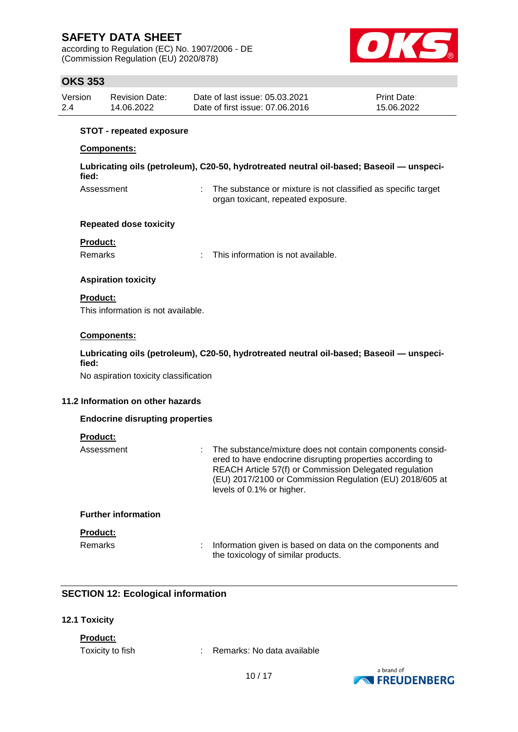according to Regulation (EC) No. 1907/2006 - DE (Commission Regulation (EU) 2020/878)



## **OKS 353**

| Version | <b>Revision Date:</b> | Date of last issue: 05.03.2021  | <b>Print Date:</b> |
|---------|-----------------------|---------------------------------|--------------------|
| 2.4     | 14.06.2022            | Date of first issue: 07.06.2016 | 15.06.2022         |

#### **STOT - repeated exposure**

#### **Components:**

**Lubricating oils (petroleum), C20-50, hydrotreated neutral oil-based; Baseoil — unspecified:**

Assessment : The substance or mixture is not classified as specific target organ toxicant, repeated exposure.

#### **Repeated dose toxicity**

#### **Product:**

Remarks : This information is not available.

#### **Aspiration toxicity**

#### **Product:**

This information is not available.

#### **Components:**

#### **Lubricating oils (petroleum), C20-50, hydrotreated neutral oil-based; Baseoil — unspecified:**

No aspiration toxicity classification

#### **11.2 Information on other hazards**

#### **Endocrine disrupting properties**

#### **Product:**

| Assessment | The substance/mixture does not contain components consid-<br>ered to have endocrine disrupting properties according to<br>REACH Article 57(f) or Commission Delegated regulation<br>(EU) 2017/2100 or Commission Regulation (EU) 2018/605 at<br>levels of 0.1% or higher. |
|------------|---------------------------------------------------------------------------------------------------------------------------------------------------------------------------------------------------------------------------------------------------------------------------|
|            |                                                                                                                                                                                                                                                                           |

#### **Further information**

### **Product:**

Remarks : Information given is based on data on the components and the toxicology of similar products.

### **SECTION 12: Ecological information**

#### **12.1 Toxicity**

#### **Product:**

Toxicity to fish : Remarks: No data available

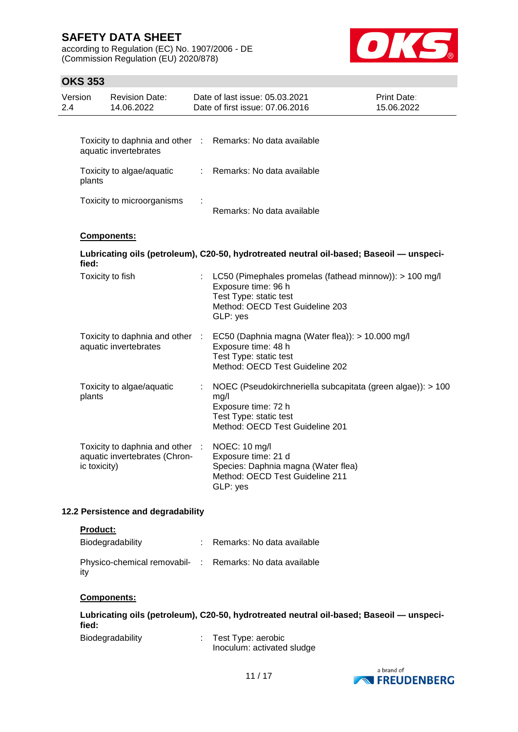according to Regulation (EC) No. 1907/2006 - DE (Commission Regulation (EU) 2020/878)



## **OKS 353**

| Version<br>2.4 |                  | <b>Revision Date:</b><br>14.06.2022                              |    | Date of last issue: 05.03.2021<br>Date of first issue: 07.06.2016                                                                                         | Print Date:<br>15.06.2022 |
|----------------|------------------|------------------------------------------------------------------|----|-----------------------------------------------------------------------------------------------------------------------------------------------------------|---------------------------|
|                |                  | aquatic invertebrates                                            |    | Toxicity to daphnia and other : Remarks: No data available                                                                                                |                           |
|                | plants           | Toxicity to algae/aquatic                                        | ÷. | Remarks: No data available                                                                                                                                |                           |
|                |                  | Toxicity to microorganisms                                       |    | Remarks: No data available                                                                                                                                |                           |
|                |                  | Components:                                                      |    |                                                                                                                                                           |                           |
|                | fied:            |                                                                  |    | Lubricating oils (petroleum), C20-50, hydrotreated neutral oil-based; Baseoil - unspeci-                                                                  |                           |
|                | Toxicity to fish |                                                                  |    | : LC50 (Pimephales promelas (fathead minnow)): > 100 mg/l<br>Exposure time: 96 h<br>Test Type: static test<br>Method: OECD Test Guideline 203<br>GLP: yes |                           |
|                |                  | Toxicity to daphnia and other :<br>aquatic invertebrates         |    | EC50 (Daphnia magna (Water flea)): > 10.000 mg/l<br>Exposure time: 48 h<br>Test Type: static test<br>Method: OECD Test Guideline 202                      |                           |
|                | plants           | Toxicity to algae/aquatic                                        |    | NOEC (Pseudokirchneriella subcapitata (green algae)): > 100<br>mg/l<br>Exposure time: 72 h<br>Test Type: static test<br>Method: OECD Test Guideline 201   |                           |
|                | ic toxicity)     | Toxicity to daphnia and other :<br>aquatic invertebrates (Chron- |    | NOEC: 10 mg/l<br>Exposure time: 21 d<br>Species: Daphnia magna (Water flea)<br>Method: OECD Test Guideline 211<br>GLP: yes                                |                           |
|                |                  | 12.2 Persistence and degradability                               |    |                                                                                                                                                           |                           |

#### **Product:**

| Biodegradability                                                | : Remarks: No data available |
|-----------------------------------------------------------------|------------------------------|
| Physico-chemical removabil- : Remarks: No data available<br>ity |                              |

#### **Components:**

**Lubricating oils (petroleum), C20-50, hydrotreated neutral oil-based; Baseoil — unspecified:**

| Biodegradability | Test Type: aerobic         |
|------------------|----------------------------|
|                  | Inoculum: activated sludge |

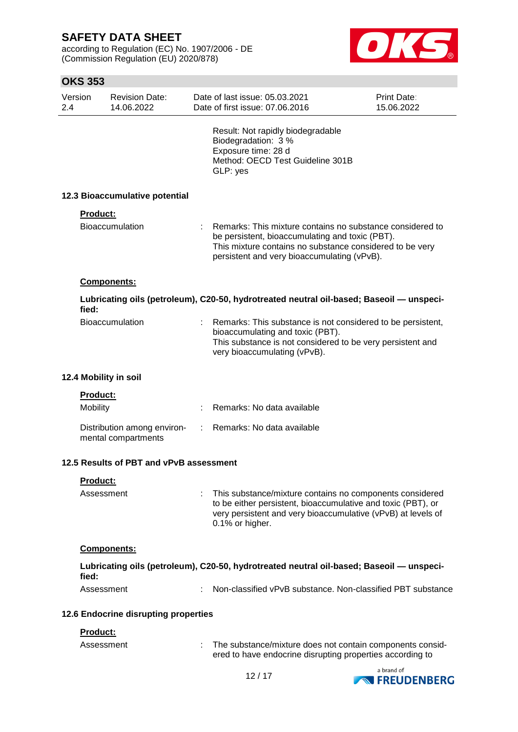according to Regulation (EC) No. 1907/2006 - DE (Commission Regulation (EU) 2020/878)



### **OKS 353**

| Version<br>2.4 | <b>Revision Date:</b><br>14.06.2022                |    | Date of last issue: 05.03.2021<br>Date of first issue: 07,06,2016                                                                                                                                                       | <b>Print Date:</b><br>15.06.2022 |
|----------------|----------------------------------------------------|----|-------------------------------------------------------------------------------------------------------------------------------------------------------------------------------------------------------------------------|----------------------------------|
|                |                                                    |    | Result: Not rapidly biodegradable<br>Biodegradation: 3 %<br>Exposure time: 28 d<br>Method: OECD Test Guideline 301B<br>GLP: yes                                                                                         |                                  |
|                | 12.3 Bioaccumulative potential                     |    |                                                                                                                                                                                                                         |                                  |
|                | <b>Product:</b>                                    |    |                                                                                                                                                                                                                         |                                  |
|                | Bioaccumulation                                    |    | Remarks: This mixture contains no substance considered to<br>be persistent, bioaccumulating and toxic (PBT).<br>This mixture contains no substance considered to be very<br>persistent and very bioaccumulating (vPvB). |                                  |
|                | Components:                                        |    |                                                                                                                                                                                                                         |                                  |
| fied:          |                                                    |    | Lubricating oils (petroleum), C20-50, hydrotreated neutral oil-based; Baseoil - unspeci-                                                                                                                                |                                  |
|                | <b>Bioaccumulation</b>                             |    | Remarks: This substance is not considered to be persistent,<br>bioaccumulating and toxic (PBT).<br>This substance is not considered to be very persistent and<br>very bioaccumulating (vPvB).                           |                                  |
|                | 12.4 Mobility in soil                              |    |                                                                                                                                                                                                                         |                                  |
|                | <b>Product:</b>                                    |    |                                                                                                                                                                                                                         |                                  |
|                | Mobility                                           |    | Remarks: No data available                                                                                                                                                                                              |                                  |
|                | Distribution among environ-<br>mental compartments | ÷. | Remarks: No data available                                                                                                                                                                                              |                                  |
|                | 12.5 Results of PBT and vPvB assessment            |    |                                                                                                                                                                                                                         |                                  |
|                | Product:                                           |    |                                                                                                                                                                                                                         |                                  |
|                | Assessment                                         |    | This substance/mixture contains no components considered<br>to be either persistent, bioaccumulative and toxic (PBT), or<br>very persistent and very bioaccumulative (vPvB) at levels of<br>0.1% or higher.             |                                  |
|                | <b>Components:</b>                                 |    |                                                                                                                                                                                                                         |                                  |
| fied:          |                                                    |    | Lubricating oils (petroleum), C20-50, hydrotreated neutral oil-based; Baseoil - unspeci-                                                                                                                                |                                  |
|                | Assessment                                         |    | Non-classified vPvB substance. Non-classified PBT substance                                                                                                                                                             |                                  |
|                | 12.6 Endocrine disrupting properties               |    |                                                                                                                                                                                                                         |                                  |
|                | Product:                                           |    |                                                                                                                                                                                                                         |                                  |
|                | Assessment                                         |    | The substance/mixture does not contain components consid-                                                                                                                                                               |                                  |



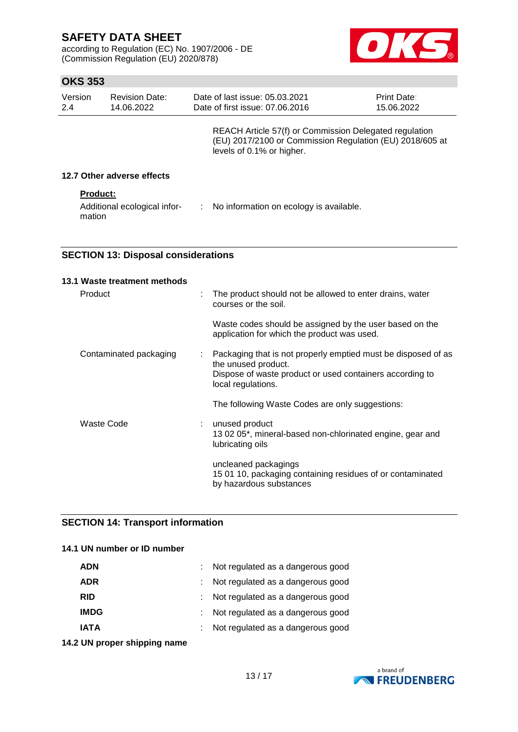according to Regulation (EC) No. 1907/2006 - DE (Commission Regulation (EU) 2020/878)



## **OKS 353**

| Version<br>2.4 | <b>Revision Date:</b><br>14.06.2022    |                                                                                                                                                 | Date of last issue: 05.03.2021<br>Date of first issue: 07.06.2016 | <b>Print Date:</b><br>15.06.2022 |
|----------------|----------------------------------------|-------------------------------------------------------------------------------------------------------------------------------------------------|-------------------------------------------------------------------|----------------------------------|
|                |                                        | REACH Article 57(f) or Commission Delegated regulation<br>(EU) 2017/2100 or Commission Regulation (EU) 2018/605 at<br>levels of 0.1% or higher. |                                                                   |                                  |
|                | 12.7 Other adverse effects             |                                                                                                                                                 |                                                                   |                                  |
|                | <b>Product:</b>                        |                                                                                                                                                 |                                                                   |                                  |
|                | Additional ecological infor-<br>mation | ÷                                                                                                                                               | No information on ecology is available.                           |                                  |

### **SECTION 13: Disposal considerations**

|            | 13.1 Waste treatment methods |                                                                                                                                                                        |
|------------|------------------------------|------------------------------------------------------------------------------------------------------------------------------------------------------------------------|
| Product    | t                            | The product should not be allowed to enter drains, water<br>courses or the soil.                                                                                       |
|            |                              | Waste codes should be assigned by the user based on the<br>application for which the product was used.                                                                 |
|            | Contaminated packaging<br>t  | Packaging that is not properly emptied must be disposed of as<br>the unused product.<br>Dispose of waste product or used containers according to<br>local regulations. |
|            |                              | The following Waste Codes are only suggestions:                                                                                                                        |
| Waste Code |                              | unused product<br>13 02 05*, mineral-based non-chlorinated engine, gear and<br>lubricating oils                                                                        |
|            |                              | uncleaned packagings<br>15 01 10, packaging containing residues of or contaminated<br>by hazardous substances                                                          |

### **SECTION 14: Transport information**

#### **14.1 UN number or ID number**

| <b>ADN</b>  | Not regulated as a dangerous good |
|-------------|-----------------------------------|
| <b>ADR</b>  | Not regulated as a dangerous good |
| <b>RID</b>  | Not regulated as a dangerous good |
| <b>IMDG</b> | Not regulated as a dangerous good |
| IATA        | Not regulated as a dangerous good |

**14.2 UN proper shipping name**

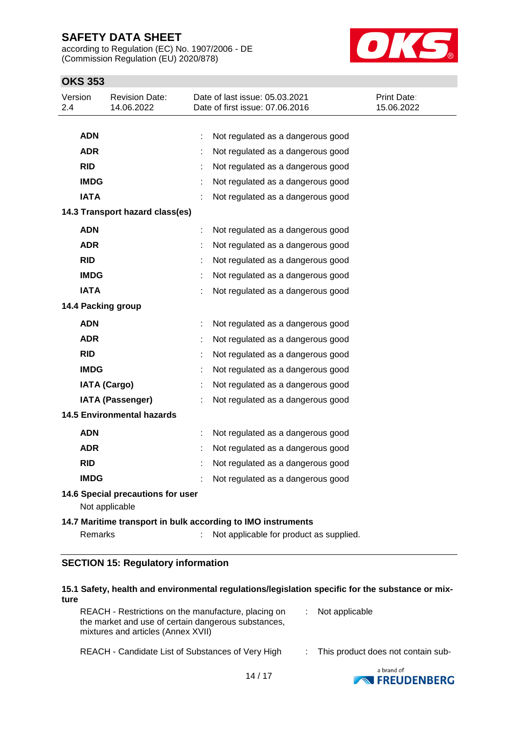according to Regulation (EC) No. 1907/2006 - DE (Commission Regulation (EU) 2020/878)



## **OKS 353**

| Version<br>2.4     |                                                              | <b>Revision Date:</b><br>14.06.2022                 |  | Date of last issue: 05.03.2021<br>Date of first issue: 07.06.2016 | Print Date:<br>15.06.2022 |  |  |
|--------------------|--------------------------------------------------------------|-----------------------------------------------------|--|-------------------------------------------------------------------|---------------------------|--|--|
|                    |                                                              |                                                     |  |                                                                   |                           |  |  |
|                    | <b>ADN</b>                                                   |                                                     |  | Not regulated as a dangerous good                                 |                           |  |  |
|                    | <b>ADR</b>                                                   |                                                     |  | Not regulated as a dangerous good                                 |                           |  |  |
|                    | <b>RID</b>                                                   |                                                     |  | Not regulated as a dangerous good                                 |                           |  |  |
|                    | <b>IMDG</b>                                                  |                                                     |  | Not regulated as a dangerous good                                 |                           |  |  |
|                    | <b>IATA</b>                                                  |                                                     |  | Not regulated as a dangerous good                                 |                           |  |  |
|                    |                                                              | 14.3 Transport hazard class(es)                     |  |                                                                   |                           |  |  |
|                    | <b>ADN</b>                                                   |                                                     |  | Not regulated as a dangerous good                                 |                           |  |  |
|                    | <b>ADR</b>                                                   |                                                     |  | Not regulated as a dangerous good                                 |                           |  |  |
|                    | <b>RID</b>                                                   |                                                     |  | Not regulated as a dangerous good                                 |                           |  |  |
|                    | <b>IMDG</b>                                                  |                                                     |  | Not regulated as a dangerous good                                 |                           |  |  |
|                    | <b>IATA</b>                                                  |                                                     |  | Not regulated as a dangerous good                                 |                           |  |  |
| 14.4 Packing group |                                                              |                                                     |  |                                                                   |                           |  |  |
|                    | <b>ADN</b>                                                   |                                                     |  | Not regulated as a dangerous good                                 |                           |  |  |
|                    | <b>ADR</b>                                                   |                                                     |  | Not regulated as a dangerous good                                 |                           |  |  |
|                    | <b>RID</b>                                                   |                                                     |  | Not regulated as a dangerous good                                 |                           |  |  |
|                    | <b>IMDG</b>                                                  |                                                     |  | Not regulated as a dangerous good                                 |                           |  |  |
|                    |                                                              | <b>IATA (Cargo)</b>                                 |  | Not regulated as a dangerous good                                 |                           |  |  |
|                    |                                                              | <b>IATA (Passenger)</b>                             |  | Not regulated as a dangerous good                                 |                           |  |  |
|                    |                                                              | <b>14.5 Environmental hazards</b>                   |  |                                                                   |                           |  |  |
|                    | <b>ADN</b>                                                   |                                                     |  | Not regulated as a dangerous good                                 |                           |  |  |
|                    | <b>ADR</b>                                                   |                                                     |  | Not regulated as a dangerous good                                 |                           |  |  |
|                    | <b>RID</b>                                                   |                                                     |  | Not regulated as a dangerous good                                 |                           |  |  |
|                    | IMDG                                                         |                                                     |  | Not regulated as a dangerous good                                 |                           |  |  |
|                    |                                                              | 14.6 Special precautions for user<br>Not applicable |  |                                                                   |                           |  |  |
|                    | 14.7 Maritime transport in bulk according to IMO instruments |                                                     |  |                                                                   |                           |  |  |
|                    | Remarks                                                      |                                                     |  | Not applicable for product as supplied.                           |                           |  |  |
|                    |                                                              |                                                     |  |                                                                   |                           |  |  |

### **SECTION 15: Regulatory information**

#### **15.1 Safety, health and environmental regulations/legislation specific for the substance or mixture**

| REACH - Restrictions on the manufacture, placing on | : Not applicable |
|-----------------------------------------------------|------------------|
| the market and use of certain dangerous substances, |                  |
| mixtures and articles (Annex XVII)                  |                  |
|                                                     |                  |

REACH - Candidate List of Substances of Very High : This product does not contain sub-

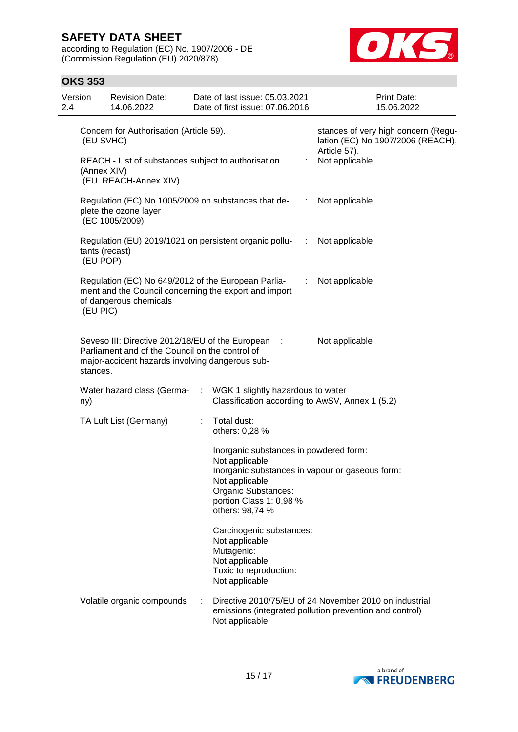according to Regulation (EC) No. 1907/2006 - DE (Commission Regulation (EU) 2020/878)



### **OKS 353**

| Version<br>2.4 | <b>Revision Date:</b><br>14.06.2022                                                                                                                                                                |   | Date of last issue: 05.03.2021<br>Date of first issue: 07.06.2016                                                      |            | Print Date:<br>15.06.2022                                                                                         |  |
|----------------|----------------------------------------------------------------------------------------------------------------------------------------------------------------------------------------------------|---|------------------------------------------------------------------------------------------------------------------------|------------|-------------------------------------------------------------------------------------------------------------------|--|
|                | Concern for Authorisation (Article 59).<br>(EU SVHC)                                                                                                                                               |   |                                                                                                                        |            | stances of very high concern (Regu-<br>lation (EC) No 1907/2006 (REACH),<br>Article 57).                          |  |
|                | REACH - List of substances subject to authorisation<br>(Annex XIV)<br>(EU. REACH-Annex XIV)                                                                                                        |   |                                                                                                                        |            | Not applicable                                                                                                    |  |
|                | Regulation (EC) No 1005/2009 on substances that de-<br>plete the ozone layer<br>(EC 1005/2009)                                                                                                     |   |                                                                                                                        |            | Not applicable                                                                                                    |  |
|                | Regulation (EU) 2019/1021 on persistent organic pollu-<br>tants (recast)<br>(EU POP)                                                                                                               |   |                                                                                                                        | <b>SEP</b> | Not applicable                                                                                                    |  |
|                | Regulation (EC) No 649/2012 of the European Parlia-<br>ment and the Council concerning the export and import<br>of dangerous chemicals<br>(EU PIC)                                                 |   |                                                                                                                        | ÷          | Not applicable                                                                                                    |  |
|                | Seveso III: Directive 2012/18/EU of the European :<br>Parliament and of the Council on the control of<br>major-accident hazards involving dangerous sub-<br>stances.                               |   |                                                                                                                        |            | Not applicable                                                                                                    |  |
| ny)            | Water hazard class (Germa-                                                                                                                                                                         | ÷ | WGK 1 slightly hazardous to water<br>Classification according to AwSV, Annex 1 (5.2)                                   |            |                                                                                                                   |  |
|                | TA Luft List (Germany)                                                                                                                                                                             |   | Total dust:<br>others: 0,28 %                                                                                          |            |                                                                                                                   |  |
|                | Inorganic substances in powdered form:<br>Not applicable<br>Inorganic substances in vapour or gaseous form:<br>Not applicable<br>Organic Substances:<br>portion Class 1: 0,98 %<br>others: 98,74 % |   |                                                                                                                        |            |                                                                                                                   |  |
|                |                                                                                                                                                                                                    |   | Carcinogenic substances:<br>Not applicable<br>Mutagenic:<br>Not applicable<br>Toxic to reproduction:<br>Not applicable |            |                                                                                                                   |  |
|                | Volatile organic compounds                                                                                                                                                                         | ÷ | Not applicable                                                                                                         |            | Directive 2010/75/EU of 24 November 2010 on industrial<br>emissions (integrated pollution prevention and control) |  |

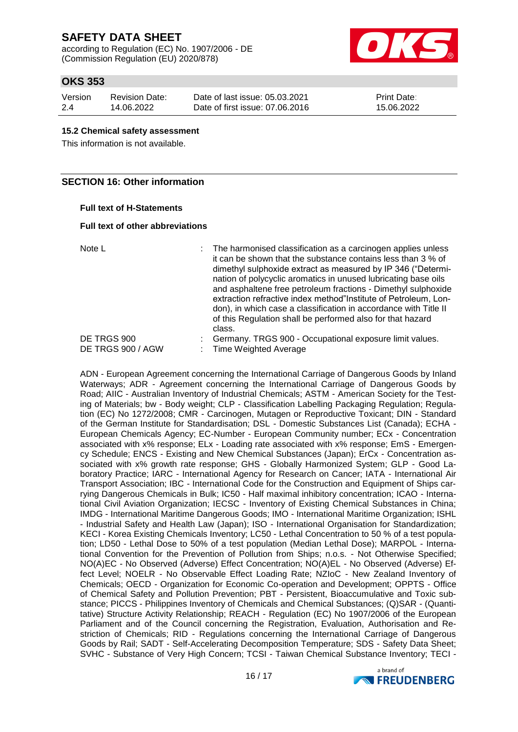according to Regulation (EC) No. 1907/2006 - DE (Commission Regulation (EU) 2020/878)



## **OKS 353**

| Version | <b>Revision Date:</b> |
|---------|-----------------------|
| 2.4     | 14.06.2022            |

Date of last issue: 05.03.2021 Date of first issue: 07.06.2016 Print Date: 15.06.2022

#### **15.2 Chemical safety assessment**

This information is not available.

### **SECTION 16: Other information**

#### **Full text of H-Statements**

#### **Full text of other abbreviations**

| Note L            | : The harmonised classification as a carcinogen applies unless<br>it can be shown that the substance contains less than 3 % of<br>dimethyl sulphoxide extract as measured by IP 346 ("Determi-<br>nation of polycyclic aromatics in unused lubricating base oils<br>and asphaltene free petroleum fractions - Dimethyl sulphoxide<br>extraction refractive index method"Institute of Petroleum, Lon-<br>don), in which case a classification in accordance with Title II<br>of this Regulation shall be performed also for that hazard<br>class. |
|-------------------|--------------------------------------------------------------------------------------------------------------------------------------------------------------------------------------------------------------------------------------------------------------------------------------------------------------------------------------------------------------------------------------------------------------------------------------------------------------------------------------------------------------------------------------------------|
| DE TRGS 900       | Germany. TRGS 900 - Occupational exposure limit values.                                                                                                                                                                                                                                                                                                                                                                                                                                                                                          |
| DE TRGS 900 / AGW | : Time Weighted Average                                                                                                                                                                                                                                                                                                                                                                                                                                                                                                                          |

ADN - European Agreement concerning the International Carriage of Dangerous Goods by Inland Waterways; ADR - Agreement concerning the International Carriage of Dangerous Goods by Road; AIIC - Australian Inventory of Industrial Chemicals; ASTM - American Society for the Testing of Materials; bw - Body weight; CLP - Classification Labelling Packaging Regulation; Regulation (EC) No 1272/2008; CMR - Carcinogen, Mutagen or Reproductive Toxicant; DIN - Standard of the German Institute for Standardisation; DSL - Domestic Substances List (Canada); ECHA - European Chemicals Agency; EC-Number - European Community number; ECx - Concentration associated with x% response; ELx - Loading rate associated with x% response; EmS - Emergency Schedule; ENCS - Existing and New Chemical Substances (Japan); ErCx - Concentration associated with x% growth rate response; GHS - Globally Harmonized System; GLP - Good Laboratory Practice; IARC - International Agency for Research on Cancer; IATA - International Air Transport Association; IBC - International Code for the Construction and Equipment of Ships carrying Dangerous Chemicals in Bulk; IC50 - Half maximal inhibitory concentration; ICAO - International Civil Aviation Organization; IECSC - Inventory of Existing Chemical Substances in China; IMDG - International Maritime Dangerous Goods; IMO - International Maritime Organization; ISHL - Industrial Safety and Health Law (Japan); ISO - International Organisation for Standardization; KECI - Korea Existing Chemicals Inventory; LC50 - Lethal Concentration to 50 % of a test population; LD50 - Lethal Dose to 50% of a test population (Median Lethal Dose); MARPOL - International Convention for the Prevention of Pollution from Ships; n.o.s. - Not Otherwise Specified; NO(A)EC - No Observed (Adverse) Effect Concentration; NO(A)EL - No Observed (Adverse) Effect Level; NOELR - No Observable Effect Loading Rate; NZIoC - New Zealand Inventory of Chemicals; OECD - Organization for Economic Co-operation and Development; OPPTS - Office of Chemical Safety and Pollution Prevention; PBT - Persistent, Bioaccumulative and Toxic substance; PICCS - Philippines Inventory of Chemicals and Chemical Substances; (Q)SAR - (Quantitative) Structure Activity Relationship; REACH - Regulation (EC) No 1907/2006 of the European Parliament and of the Council concerning the Registration, Evaluation, Authorisation and Restriction of Chemicals; RID - Regulations concerning the International Carriage of Dangerous Goods by Rail; SADT - Self-Accelerating Decomposition Temperature; SDS - Safety Data Sheet; SVHC - Substance of Very High Concern; TCSI - Taiwan Chemical Substance Inventory; TECI -